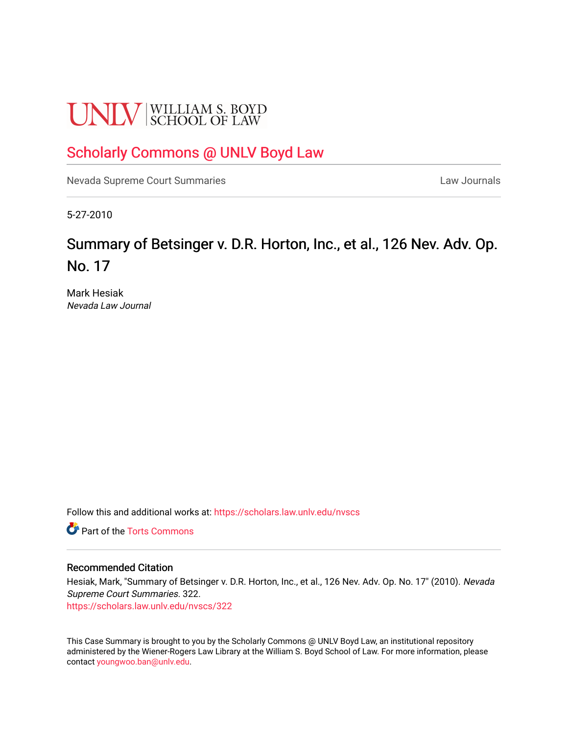# **UNLV** SCHOOL OF LAW

# [Scholarly Commons @ UNLV Boyd Law](https://scholars.law.unlv.edu/)

[Nevada Supreme Court Summaries](https://scholars.law.unlv.edu/nvscs) **Law Journals** Law Journals

5-27-2010

# Summary of Betsinger v. D.R. Horton, Inc., et al., 126 Nev. Adv. Op. No. 17

Mark Hesiak Nevada Law Journal

Follow this and additional works at: [https://scholars.law.unlv.edu/nvscs](https://scholars.law.unlv.edu/nvscs?utm_source=scholars.law.unlv.edu%2Fnvscs%2F322&utm_medium=PDF&utm_campaign=PDFCoverPages)

**C** Part of the [Torts Commons](http://network.bepress.com/hgg/discipline/913?utm_source=scholars.law.unlv.edu%2Fnvscs%2F322&utm_medium=PDF&utm_campaign=PDFCoverPages)

#### Recommended Citation

Hesiak, Mark, "Summary of Betsinger v. D.R. Horton, Inc., et al., 126 Nev. Adv. Op. No. 17" (2010). Nevada Supreme Court Summaries. 322.

[https://scholars.law.unlv.edu/nvscs/322](https://scholars.law.unlv.edu/nvscs/322?utm_source=scholars.law.unlv.edu%2Fnvscs%2F322&utm_medium=PDF&utm_campaign=PDFCoverPages)

This Case Summary is brought to you by the Scholarly Commons @ UNLV Boyd Law, an institutional repository administered by the Wiener-Rogers Law Library at the William S. Boyd School of Law. For more information, please contact [youngwoo.ban@unlv.edu](mailto:youngwoo.ban@unlv.edu).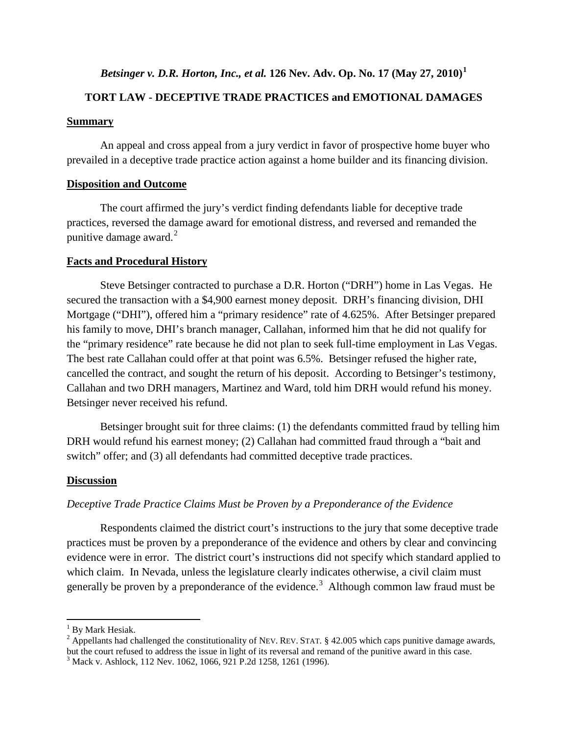# *Betsinger v. D.R. Horton, Inc., et al.* **126 Nev. Adv. Op. No. 17 (May 27, 2010)[1](#page-1-0)**

# **TORT LAW - DECEPTIVE TRADE PRACTICES and EMOTIONAL DAMAGES**

#### **Summary**

An appeal and cross appeal from a jury verdict in favor of prospective home buyer who prevailed in a deceptive trade practice action against a home builder and its financing division.

## **Disposition and Outcome**

The court affirmed the jury's verdict finding defendants liable for deceptive trade practices, reversed the damage award for emotional distress, and reversed and remanded the punitive damage award. $^{2}$  $^{2}$  $^{2}$ 

#### **Facts and Procedural History**

Steve Betsinger contracted to purchase a D.R. Horton ("DRH") home in Las Vegas. He secured the transaction with a \$4,900 earnest money deposit. DRH's financing division, DHI Mortgage ("DHI"), offered him a "primary residence" rate of 4.625%. After Betsinger prepared his family to move, DHI's branch manager, Callahan, informed him that he did not qualify for the "primary residence" rate because he did not plan to seek full-time employment in Las Vegas. The best rate Callahan could offer at that point was 6.5%. Betsinger refused the higher rate, cancelled the contract, and sought the return of his deposit. According to Betsinger's testimony, Callahan and two DRH managers, Martinez and Ward, told him DRH would refund his money. Betsinger never received his refund.

Betsinger brought suit for three claims: (1) the defendants committed fraud by telling him DRH would refund his earnest money; (2) Callahan had committed fraud through a "bait and switch" offer; and (3) all defendants had committed deceptive trade practices.

## **Discussion**

## *Deceptive Trade Practice Claims Must be Proven by a Preponderance of the Evidence*

Respondents claimed the district court's instructions to the jury that some deceptive trade practices must be proven by a preponderance of the evidence and others by clear and convincing evidence were in error. The district court's instructions did not specify which standard applied to which claim. In Nevada, unless the legislature clearly indicates otherwise, a civil claim must generally be proven by a preponderance of the evidence.<sup>[3](#page-1-2)</sup> Although common law fraud must be

 $<sup>1</sup>$  By Mark Hesiak.</sup>

<span id="page-1-1"></span><span id="page-1-0"></span><sup>&</sup>lt;sup>2</sup> Appellants had challenged the constitutionality of NEV. REV. STAT. § 42.005 which caps punitive damage awards, but the court refused to address the issue in light of its reversal and remand of the punitive award in this case.

<span id="page-1-2"></span><sup>3</sup> Mack v. Ashlock, 112 Nev. 1062, 1066, 921 P.2d 1258, 1261 (1996).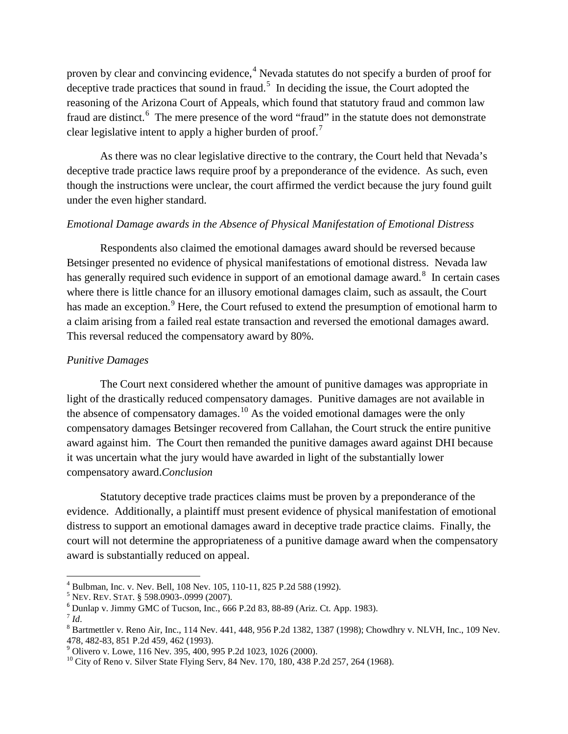proven by clear and convincing evidence,<sup>[4](#page-2-0)</sup> Nevada statutes do not specify a burden of proof for deceptive trade practices that sound in fraud.<sup>[5](#page-2-1)</sup> In deciding the issue, the Court adopted the reasoning of the Arizona Court of Appeals, which found that statutory fraud and common law fraud are distinct.<sup>[6](#page-2-2)</sup> The mere presence of the word "fraud" in the statute does not demonstrate clear legislative intent to apply a higher burden of proof.<sup>[7](#page-2-3)</sup>

As there was no clear legislative directive to the contrary, the Court held that Nevada's deceptive trade practice laws require proof by a preponderance of the evidence. As such, even though the instructions were unclear, the court affirmed the verdict because the jury found guilt under the even higher standard.

## *Emotional Damage awards in the Absence of Physical Manifestation of Emotional Distress*

Respondents also claimed the emotional damages award should be reversed because Betsinger presented no evidence of physical manifestations of emotional distress. Nevada law has generally required such evidence in support of an emotional damage award.<sup>[8](#page-2-4)</sup> In certain cases where there is little chance for an illusory emotional damages claim, such as assault, the Court has made an exception.<sup>[9](#page-2-5)</sup> Here, the Court refused to extend the presumption of emotional harm to a claim arising from a failed real estate transaction and reversed the emotional damages award. This reversal reduced the compensatory award by 80%.

# *Punitive Damages*

The Court next considered whether the amount of punitive damages was appropriate in light of the drastically reduced compensatory damages. Punitive damages are not available in the absence of compensatory damages.<sup>[10](#page-2-6)</sup> As the voided emotional damages were the only compensatory damages Betsinger recovered from Callahan, the Court struck the entire punitive award against him. The Court then remanded the punitive damages award against DHI because it was uncertain what the jury would have awarded in light of the substantially lower compensatory award.*Conclusion*

Statutory deceptive trade practices claims must be proven by a preponderance of the evidence. Additionally, a plaintiff must present evidence of physical manifestation of emotional distress to support an emotional damages award in deceptive trade practice claims. Finally, the court will not determine the appropriateness of a punitive damage award when the compensatory award is substantially reduced on appeal.

<span id="page-2-1"></span>

<span id="page-2-2"></span>

<span id="page-2-4"></span><span id="page-2-3"></span>

<span id="page-2-0"></span><sup>&</sup>lt;sup>4</sup> Bulbman, Inc. v. Nev. Bell, 108 Nev. 105, 110-11, 825 P.2d 588 (1992).<br>
<sup>5</sup> NEV. REV. STAT. § 598.0903-.0999 (2007).<br>
<sup>6</sup> Dunlap v. Jimmy GMC of Tucson, Inc., 666 P.2d 83, 88-89 (Ariz. Ct. App. 1983).<br>
<sup>7</sup> Id.<br>
<sup>8</sup> Ba

<span id="page-2-6"></span><span id="page-2-5"></span><sup>&</sup>lt;sup>9</sup> Olivero v. Lowe, 116 Nev. 395, 400, 995 P.2d 1023, 1026 (2000).<br><sup>10</sup> City of Reno v. Silver State Flying Serv, 84 Nev. 170, 180, 438 P.2d 257, 264 (1968).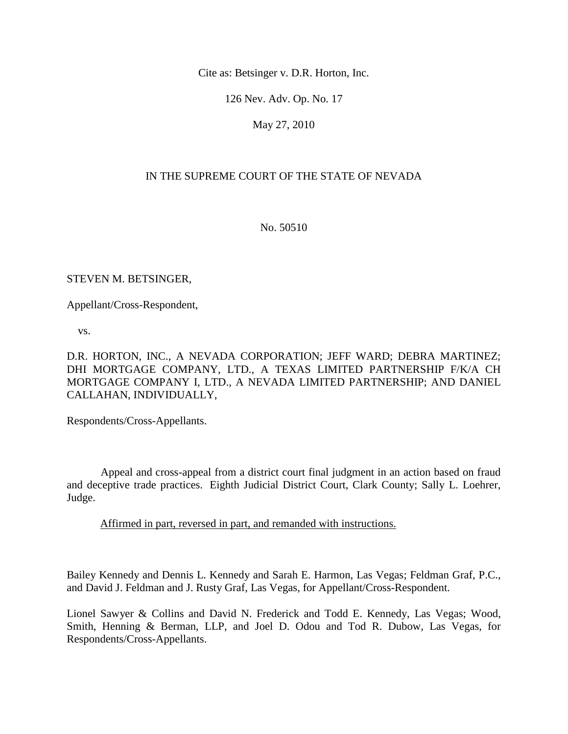Cite as: Betsinger v. D.R. Horton, Inc.

126 Nev. Adv. Op. No. 17

May 27, 2010

# IN THE SUPREME COURT OF THE STATE OF NEVADA

No. 50510

#### STEVEN M. BETSINGER,

Appellant/Cross-Respondent,

vs.

D.R. HORTON, INC., A NEVADA CORPORATION; JEFF WARD; DEBRA MARTINEZ; DHI MORTGAGE COMPANY, LTD., A TEXAS LIMITED PARTNERSHIP F/K/A CH MORTGAGE COMPANY I, LTD., A NEVADA LIMITED PARTNERSHIP; AND DANIEL CALLAHAN, INDIVIDUALLY,

Respondents/Cross-Appellants.

 Appeal and cross-appeal from a district court final judgment in an action based on fraud and deceptive trade practices. Eighth Judicial District Court, Clark County; Sally L. Loehrer, Judge.

Affirmed in part, reversed in part, and remanded with instructions.

Bailey Kennedy and Dennis L. Kennedy and Sarah E. Harmon, Las Vegas; Feldman Graf, P.C., and David J. Feldman and J. Rusty Graf, Las Vegas, for Appellant/Cross-Respondent.

Lionel Sawyer & Collins and David N. Frederick and Todd E. Kennedy, Las Vegas; Wood, Smith, Henning & Berman, LLP, and Joel D. Odou and Tod R. Dubow, Las Vegas, for Respondents/Cross-Appellants.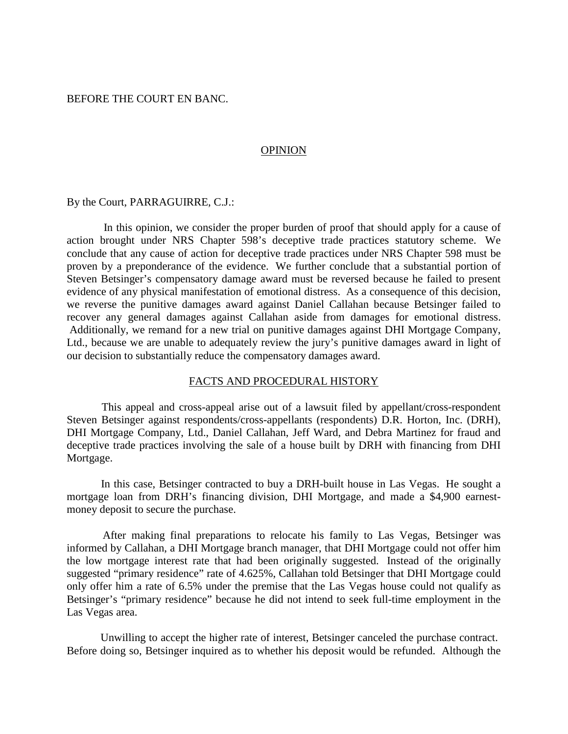#### BEFORE THE COURT EN BANC.

#### **OPINION**

By the Court, PARRAGUIRRE, C.J.:

 In this opinion, we consider the proper burden of proof that should apply for a cause of action brought under NRS Chapter 598's deceptive trade practices statutory scheme. We conclude that any cause of action for deceptive trade practices under NRS Chapter 598 must be proven by a preponderance of the evidence. We further conclude that a substantial portion of Steven Betsinger's compensatory damage award must be reversed because he failed to present evidence of any physical manifestation of emotional distress. As a consequence of this decision, we reverse the punitive damages award against Daniel Callahan because Betsinger failed to recover any general damages against Callahan aside from damages for emotional distress. Additionally, we remand for a new trial on punitive damages against DHI Mortgage Company, Ltd., because we are unable to adequately review the jury's punitive damages award in light of our decision to substantially reduce the compensatory damages award.

#### FACTS AND PROCEDURAL HISTORY

 This appeal and cross-appeal arise out of a lawsuit filed by appellant/cross-respondent Steven Betsinger against respondents/cross-appellants (respondents) D.R. Horton, Inc. (DRH), DHI Mortgage Company, Ltd., Daniel Callahan, Jeff Ward, and Debra Martinez for fraud and deceptive trade practices involving the sale of a house built by DRH with financing from DHI Mortgage.

 In this case, Betsinger contracted to buy a DRH-built house in Las Vegas. He sought a mortgage loan from DRH's financing division, DHI Mortgage, and made a \$4,900 earnestmoney deposit to secure the purchase.

 After making final preparations to relocate his family to Las Vegas, Betsinger was informed by Callahan, a DHI Mortgage branch manager, that DHI Mortgage could not offer him the low mortgage interest rate that had been originally suggested. Instead of the originally suggested "primary residence" rate of 4.625%, Callahan told Betsinger that DHI Mortgage could only offer him a rate of 6.5% under the premise that the Las Vegas house could not qualify as Betsinger's "primary residence" because he did not intend to seek full-time employment in the Las Vegas area.

 Unwilling to accept the higher rate of interest, Betsinger canceled the purchase contract. Before doing so, Betsinger inquired as to whether his deposit would be refunded. Although the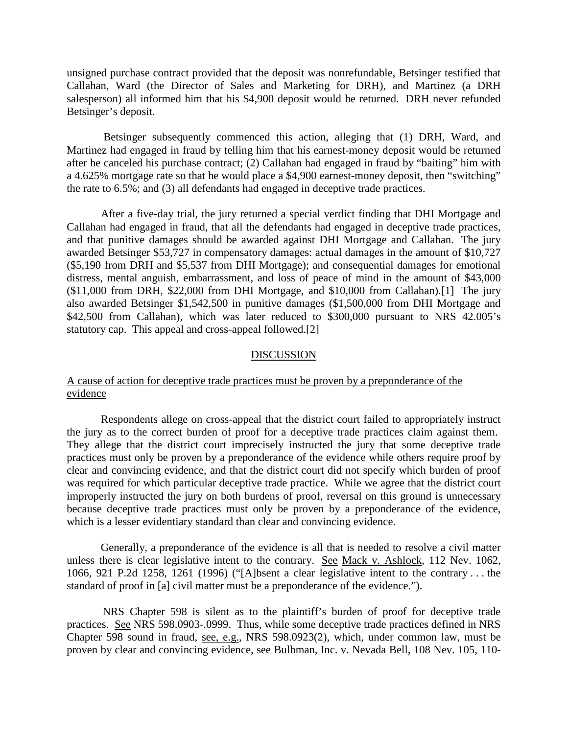unsigned purchase contract provided that the deposit was nonrefundable, Betsinger testified that Callahan, Ward (the Director of Sales and Marketing for DRH), and Martinez (a DRH salesperson) all informed him that his \$4,900 deposit would be returned. DRH never refunded Betsinger's deposit.

 Betsinger subsequently commenced this action, alleging that (1) DRH, Ward, and Martinez had engaged in fraud by telling him that his earnest-money deposit would be returned after he canceled his purchase contract; (2) Callahan had engaged in fraud by "baiting" him with a 4.625% mortgage rate so that he would place a \$4,900 earnest-money deposit, then "switching" the rate to 6.5%; and (3) all defendants had engaged in deceptive trade practices.

 After a five-day trial, the jury returned a special verdict finding that DHI Mortgage and Callahan had engaged in fraud, that all the defendants had engaged in deceptive trade practices, and that punitive damages should be awarded against DHI Mortgage and Callahan. The jury awarded Betsinger \$53,727 in compensatory damages: actual damages in the amount of \$10,727 (\$5,190 from DRH and \$5,537 from DHI Mortgage); and consequential damages for emotional distress, mental anguish, embarrassment, and loss of peace of mind in the amount of \$43,000 (\$11,000 from DRH, \$22,000 from DHI Mortgage, and \$10,000 from Callahan).[1] The jury also awarded Betsinger \$1,542,500 in punitive damages (\$1,500,000 from DHI Mortgage and \$42,500 from Callahan), which was later reduced to \$300,000 pursuant to NRS 42.005's statutory cap. This appeal and cross-appeal followed.[2]

#### **DISCUSSION**

#### A cause of action for deceptive trade practices must be proven by a preponderance of the evidence

 Respondents allege on cross-appeal that the district court failed to appropriately instruct the jury as to the correct burden of proof for a deceptive trade practices claim against them. They allege that the district court imprecisely instructed the jury that some deceptive trade practices must only be proven by a preponderance of the evidence while others require proof by clear and convincing evidence, and that the district court did not specify which burden of proof was required for which particular deceptive trade practice. While we agree that the district court improperly instructed the jury on both burdens of proof, reversal on this ground is unnecessary because deceptive trade practices must only be proven by a preponderance of the evidence, which is a lesser evidentiary standard than clear and convincing evidence.

 Generally, a preponderance of the evidence is all that is needed to resolve a civil matter unless there is clear legislative intent to the contrary. See Mack v. Ashlock, 112 Nev. 1062, 1066, 921 P.2d 1258, 1261 (1996) ("[A]bsent a clear legislative intent to the contrary . . . the standard of proof in [a] civil matter must be a preponderance of the evidence.").

 NRS Chapter 598 is silent as to the plaintiff's burden of proof for deceptive trade practices. See NRS 598.0903-.0999. Thus, while some deceptive trade practices defined in NRS Chapter 598 sound in fraud, see, e.g., NRS 598.0923(2), which, under common law, must be proven by clear and convincing evidence, see Bulbman, Inc. v. Nevada Bell, 108 Nev. 105, 110-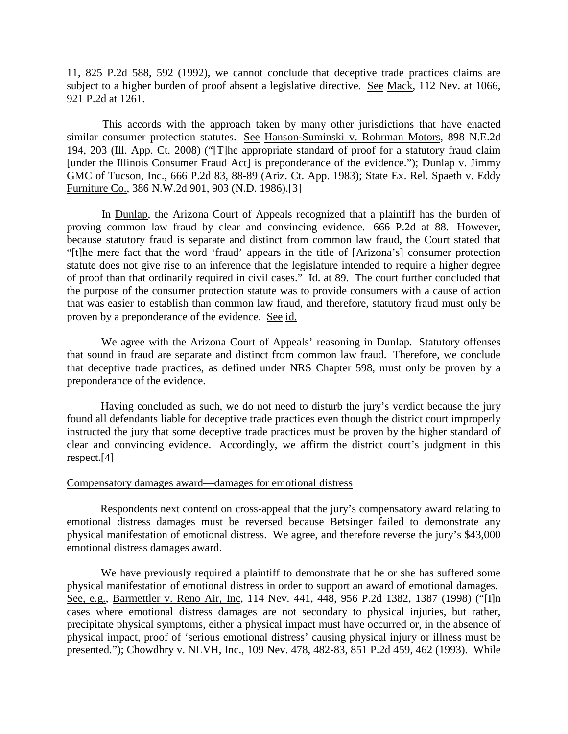11, 825 P.2d 588, 592 (1992), we cannot conclude that deceptive trade practices claims are subject to a higher burden of proof absent a legislative directive. See Mack, 112 Nev. at 1066, 921 P.2d at 1261.

 This accords with the approach taken by many other jurisdictions that have enacted similar consumer protection statutes. See Hanson-Suminski v. Rohrman Motors, 898 N.E.2d 194, 203 (Ill. App. Ct. 2008) ("[T]he appropriate standard of proof for a statutory fraud claim [under the Illinois Consumer Fraud Act] is preponderance of the evidence."); Dunlap v. Jimmy GMC of Tucson, Inc., 666 P.2d 83, 88-89 (Ariz. Ct. App. 1983); State Ex. Rel. Spaeth v. Eddy Furniture Co., 386 N.W.2d 901, 903 (N.D. 1986).[3]

 In Dunlap, the Arizona Court of Appeals recognized that a plaintiff has the burden of proving common law fraud by clear and convincing evidence. 666 P.2d at 88. However, because statutory fraud is separate and distinct from common law fraud, the Court stated that "[t]he mere fact that the word 'fraud' appears in the title of [Arizona's] consumer protection statute does not give rise to an inference that the legislature intended to require a higher degree of proof than that ordinarily required in civil cases." Id. at 89. The court further concluded that the purpose of the consumer protection statute was to provide consumers with a cause of action that was easier to establish than common law fraud, and therefore, statutory fraud must only be proven by a preponderance of the evidence. See id.

 We agree with the Arizona Court of Appeals' reasoning in Dunlap. Statutory offenses that sound in fraud are separate and distinct from common law fraud. Therefore, we conclude that deceptive trade practices, as defined under NRS Chapter 598, must only be proven by a preponderance of the evidence.

 Having concluded as such, we do not need to disturb the jury's verdict because the jury found all defendants liable for deceptive trade practices even though the district court improperly instructed the jury that some deceptive trade practices must be proven by the higher standard of clear and convincing evidence. Accordingly, we affirm the district court's judgment in this respect.[4]

#### Compensatory damages award—damages for emotional distress

 Respondents next contend on cross-appeal that the jury's compensatory award relating to emotional distress damages must be reversed because Betsinger failed to demonstrate any physical manifestation of emotional distress. We agree, and therefore reverse the jury's \$43,000 emotional distress damages award.

 We have previously required a plaintiff to demonstrate that he or she has suffered some physical manifestation of emotional distress in order to support an award of emotional damages. See, e.g., Barmettler v. Reno Air, Inc, 114 Nev. 441, 448, 956 P.2d 1382, 1387 (1998) ("[I]n cases where emotional distress damages are not secondary to physical injuries, but rather, precipitate physical symptoms, either a physical impact must have occurred or, in the absence of physical impact, proof of 'serious emotional distress' causing physical injury or illness must be presented."); Chowdhry v. NLVH, Inc., 109 Nev. 478, 482-83, 851 P.2d 459, 462 (1993). While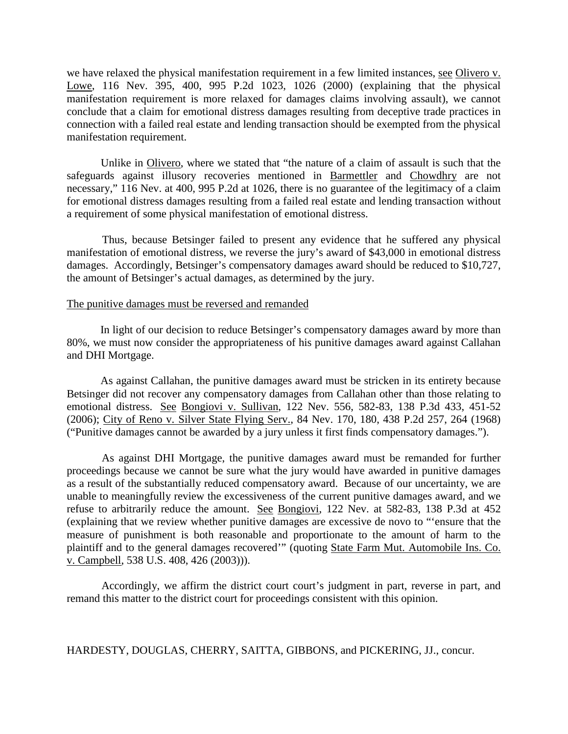we have relaxed the physical manifestation requirement in a few limited instances, see Olivero v. Lowe, 116 Nev. 395, 400, 995 P.2d 1023, 1026 (2000) (explaining that the physical manifestation requirement is more relaxed for damages claims involving assault), we cannot conclude that a claim for emotional distress damages resulting from deceptive trade practices in connection with a failed real estate and lending transaction should be exempted from the physical manifestation requirement.

 Unlike in Olivero, where we stated that "the nature of a claim of assault is such that the safeguards against illusory recoveries mentioned in Barmettler and Chowdhry are not necessary," 116 Nev. at 400, 995 P.2d at 1026, there is no guarantee of the legitimacy of a claim for emotional distress damages resulting from a failed real estate and lending transaction without a requirement of some physical manifestation of emotional distress.

 Thus, because Betsinger failed to present any evidence that he suffered any physical manifestation of emotional distress, we reverse the jury's award of \$43,000 in emotional distress damages. Accordingly, Betsinger's compensatory damages award should be reduced to \$10,727, the amount of Betsinger's actual damages, as determined by the jury.

#### The punitive damages must be reversed and remanded

 In light of our decision to reduce Betsinger's compensatory damages award by more than 80%, we must now consider the appropriateness of his punitive damages award against Callahan and DHI Mortgage.

 As against Callahan, the punitive damages award must be stricken in its entirety because Betsinger did not recover any compensatory damages from Callahan other than those relating to emotional distress. See Bongiovi v. Sullivan, 122 Nev. 556, 582-83, 138 P.3d 433, 451-52 (2006); City of Reno v. Silver State Flying Serv., 84 Nev. 170, 180, 438 P.2d 257, 264 (1968) ("Punitive damages cannot be awarded by a jury unless it first finds compensatory damages.").

 As against DHI Mortgage, the punitive damages award must be remanded for further proceedings because we cannot be sure what the jury would have awarded in punitive damages as a result of the substantially reduced compensatory award. Because of our uncertainty, we are unable to meaningfully review the excessiveness of the current punitive damages award, and we refuse to arbitrarily reduce the amount. See Bongiovi, 122 Nev. at 582-83, 138 P.3d at 452 (explaining that we review whether punitive damages are excessive de novo to "'ensure that the measure of punishment is both reasonable and proportionate to the amount of harm to the plaintiff and to the general damages recovered'" (quoting State Farm Mut. Automobile Ins. Co. v. Campbell, 538 U.S. 408, 426 (2003))).

 Accordingly, we affirm the district court court's judgment in part, reverse in part, and remand this matter to the district court for proceedings consistent with this opinion.

HARDESTY, DOUGLAS, CHERRY, SAITTA, GIBBONS, and PICKERING, JJ., concur.